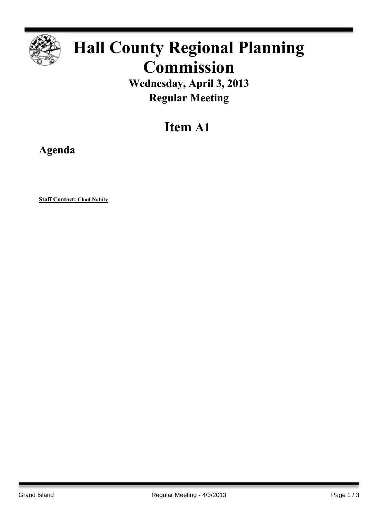

# **Hall County Regional Planning Commission**

**Wednesday, April 3, 2013 Regular Meeting**

## **Item A1**

**Agenda**

**Staff Contact: Chad Nabity**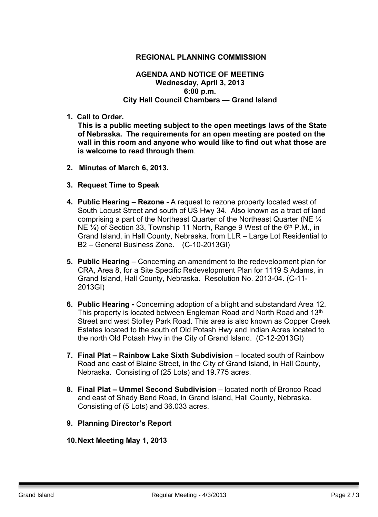#### **REGIONAL PLANNING COMMISSION**

#### **AGENDA AND NOTICE OF MEETING Wednesday, April 3, 2013 6:00 p.m. City Hall Council Chambers — Grand Island**

**1. Call to Order.**

**This is a public meeting subject to the open meetings laws of the State of Nebraska. The requirements for an open meeting are posted on the wall in this room and anyone who would like to find out what those are is welcome to read through them**.

- **2. Minutes of March 6, 2013.**
- **3. Request Time to Speak**
- **4. Public Hearing – Rezone -** A request to rezone property located west of South Locust Street and south of US Hwy 34. Also known as a tract of land comprising a part of the Northeast Quarter of the Northeast Quarter (NE ¼ NE 1/4) of Section 33, Township 11 North, Range 9 West of the 6<sup>th</sup> P.M., in Grand Island, in Hall County, Nebraska, from LLR – Large Lot Residential to B2 – General Business Zone. (C-10-2013GI)
- **5. Public Hearing** Concerning an amendment to the redevelopment plan for CRA, Area 8, for a Site Specific Redevelopment Plan for 1119 S Adams, in Grand Island, Hall County, Nebraska. Resolution No. 2013-04. (C-11- 2013GI)
- **6. Public Hearing -** Concerning adoption of a blight and substandard Area 12. This property is located between Engleman Road and North Road and 13<sup>th</sup> Street and west Stolley Park Road. This area is also known as Copper Creek Estates located to the south of Old Potash Hwy and Indian Acres located to the north Old Potash Hwy in the City of Grand Island. (C-12-2013GI)
- **7. Final Plat – Rainbow Lake Sixth Subdivision** located south of Rainbow Road and east of Blaine Street, in the City of Grand Island, in Hall County, Nebraska. Consisting of (25 Lots) and 19.775 acres.
- **8. Final Plat – Ummel Second Subdivision** located north of Bronco Road and east of Shady Bend Road, in Grand Island, Hall County, Nebraska. Consisting of (5 Lots) and 36.033 acres.
- **9. Planning Director's Report**
- **10.Next Meeting May 1, 2013**